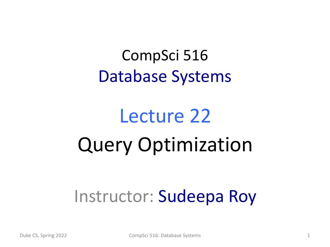#### CompSci 516 Database Systems

# Lecture 22 Query Optimization

#### Instructor: Sudeepa Roy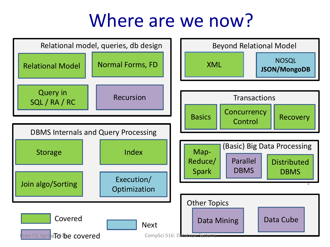#### Where are we now?

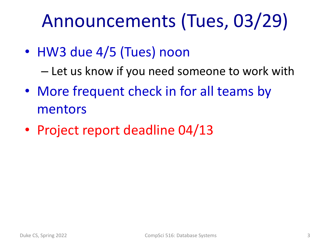## Announcements (Tues, 03/29)

• HW3 due 4/5 (Tues) noon

– Let us know if you need someone to work with

- More frequent check in for all teams by mentors
- Project report deadline 04/13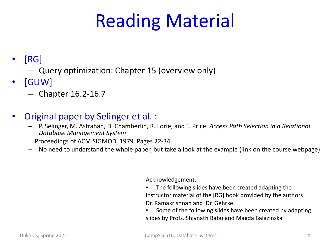## Reading Material

#### $[RG]$

- Query optimization: Chapter 15 (overview only)
- [GUW]
	- Chapter 16.2-16.7
- Original paper by Selinger et al. :
	- P. Selinger, M. Astrahan, D. Chamberlin, R. Lorie, and T. Price. *Access Path Selection in a Relational Database Management System*

Proceedings of ACM SIGMOD, 1979. Pages 22-34

– No need to understand the whole paper, but take a look at the example (link on the course webpage)

#### Acknowledgement:

- The following slides have been created adapting the instructor material of the [RG] book provided by the authors Dr. Ramakrishnan and Dr. Gehrke.
- Some of the following slides have been created by adapting slides by Profs. Shivnath Babu and Magda Balazinska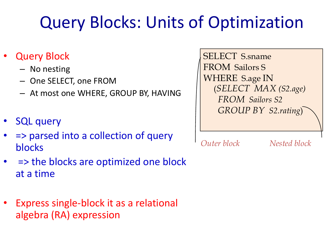#### Query Blocks: Units of Optimization

- **Query Block** 
	- No nesting
	- One SELECT, one FROM
	- At most one WHERE, GROUP BY, HAVING
- **SQL query**
- => parsed into a collection of query blocks
- => the blocks are optimized one block at a time
- Express single-block it as a relational algebra (RA) expression

SELECT S.sname FROM Sailors S WHERE S.age IN (*SELECT MAX (S2.age) FROM Sailors S2 GROUP BY S2.rating*)

*Outer block Nested block*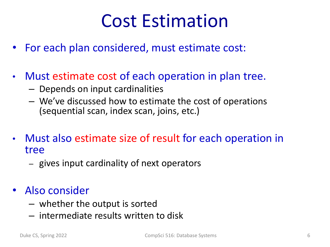### Cost Estimation

- For each plan considered, must estimate cost:
- Must estimate cost of each operation in plan tree.
	- Depends on input cardinalities
	- We've discussed how to estimate the cost of operations (sequential scan, index scan, joins, etc.)
- Must also estimate size of result for each operation in tree
	- gives input cardinality of next operators
- Also consider
	- whether the output is sorted
	- intermediate results written to disk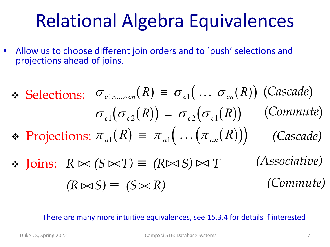### Relational Algebra Equivalences

• Allow us to choose different join orders and to `push' selections and projections ahead of joins.

\n- \n 
$$
\mathbf{E} = \sigma_{c1}(\ldots \sigma_{cn}(R))
$$
 (Cascade) \n  $\sigma_{c1}(\sigma_{c2}(R)) \equiv \sigma_{c2}(\sigma_{c1}(R))$  (Commute) \n
\n- \n  $\mathbf{F} = \sigma_{c2}(\sigma_{c1}(R))$  (Commute) \n
\n- \n  $\mathbf{F} = \sigma_{c1}(\ldots(\pi_{an}(R)))$  (Cascade) \n
\n- \n  $\mathbf{F} = \sigma_{c2}(\sigma_{c1}(R))$  (Cascade) \n
\n

 $\mathbf{\hat{v}}$  Joins:  $R \bowtie (S \bowtie I) \equiv (R \bowtie S) \bowtie I$  (*Associative)*  $(R \bowtie S) \equiv (S \bowtie R)$  (Commute)

There are many more intuitive equivalences, see 15.3.4 for details if interested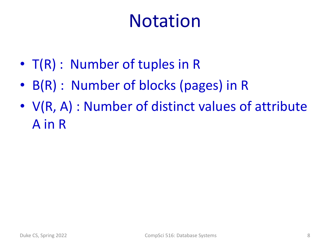### Notation

- T(R) : Number of tuples in R
- B(R) : Number of blocks (pages) in R
- V(R, A) : Number of distinct values of attribute A in R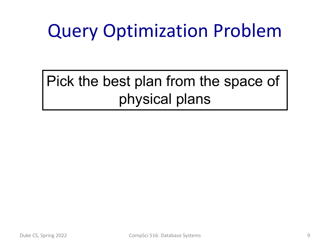# Query Optimization Problem

Pick the best plan from the space of physical plans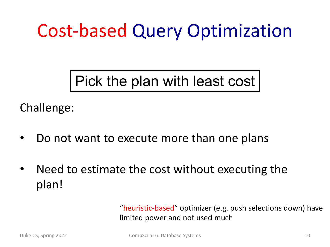## Cost-based Query Optimization

Pick the plan with least cost

Challenge:

- Do not want to execute more than one plans
- Need to estimate the cost without executing the plan!

"heuristic-based" optimizer (e.g. push selections down) have limited power and not used much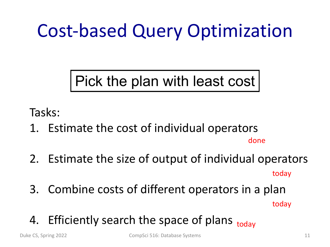## Cost-based Query Optimization

Pick the plan with least cost

Tasks:

1. Estimate the cost of individual operators

done

- 2. Estimate the size of output of individual operators today
- 3. Combine costs of different operators in a plan

today

4. Efficiently search the space of plans <sub>today</sub>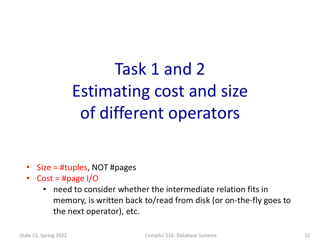Task 1 and 2 Estimating cost and size of different operators

- Size = #tuples, NOT #pages
- Cost = #page I/O
	- need to consider whether the intermediate relation fits in memory, is written back to/read from disk (or on-the-fly goes to the next operator), etc.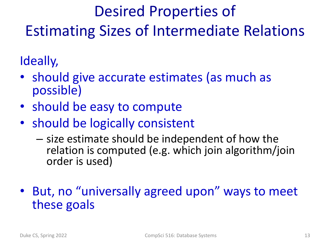#### Desired Properties of Estimating Sizes of Intermediate Relations

Ideally,

- should give accurate estimates (as much as possible)
- should be easy to compute
- should be logically consistent
	- size estimate should be independent of how the relation is computed (e.g. which join algorithm/join order is used)
- But, no "universally agreed upon" ways to meet these goals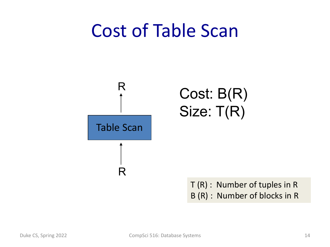#### Cost of Table Scan



T (R) : Number of tuples in R B (R) : Number of blocks in R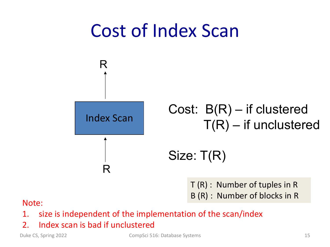

T (R) : Number of tuples in R B (R) : Number of blocks in R<br>Note:

- 1. size is independent of the implementation of the scan/index
- 2. Index scan is bad if unclustered

Duke CS, Spring 2022 **CompSci 516:** Database Systems 15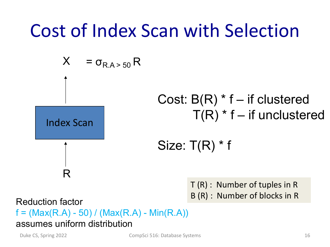#### Cost of Index Scan with Selection



Reduction factor **Exercise EQS** (R) : Number of blocks in R  $f = (Max(R.A) - 50) / (Max(R.A) - Min(R.A))$ assumes uniform distribution

Duke CS, Spring 2022 **CompSci 516:** Database Systems 16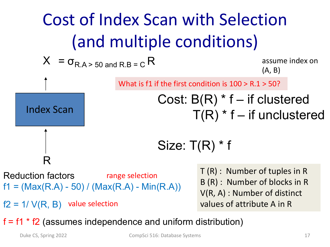

 $f2 = 1 / V(R, B)$  value selection

V(R, A) : Number of distinct values of attribute A in R

 $f = f1 * f2$  (assumes independence and uniform distribution)

Duke CS, Spring 2022 CompSci 516: Database Systems 17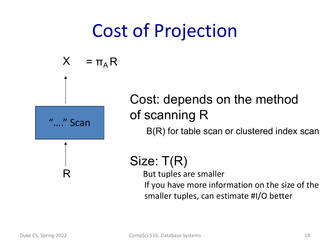### Cost of Projection

$$
X = \pi_A R
$$



R

#### Cost: depends on the method of scanning R

B(R) for table scan or clustered index scan

#### Size: T(R)

But tuples are smaller If you have more information on the size of the smaller tuples, can estimate #I/O better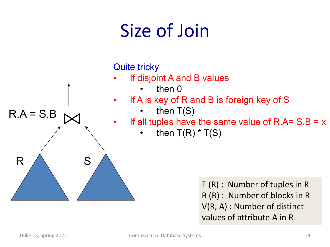

T (R) : Number of tuples in R B (R) : Number of blocks in R V(R, A) : Number of distinct

values of attribute A in R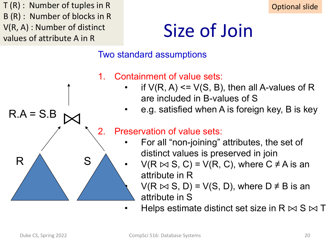T (R) : Number of tuples in R B (R) : Number of blocks in R V(R, A) : Number of distinct values of attribute A in R

S



## Size of Join

#### Two standard assumptions

- 1. Containment of value sets:
	- if  $V(R, A) \leq V(S, B)$ , then all A-values of R are included in B-values of S
	- e.g. satisfied when A is foreign key, B is key

#### 2. Preservation of value sets:

- For all "non-joining" attributes, the set of distinct values is preserved in join
	- $V(R \bowtie S, C) = V(R, C)$ , where  $C \neq A$  is an attribute in R

 $V(R \bowtie S, D) = V(S, D)$ , where  $D \neq B$  is an attribute in S

Helps estimate distinct set size in R  $\bowtie$  S  $\bowtie$  T

R

 $R.A = S.B$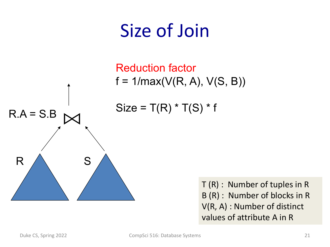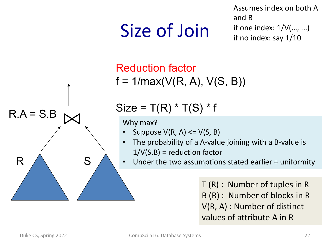# Size of Join

Assumes index on both A and B if one index:  $1/V(...,...)$ if no index: say 1/10



Reduction factor  $f = 1 / max(V(R, A), V(S, B))$ 

 $Size = T(R) * T(S) * f$ 

- Suppose  $V(R, A) \leq V(S, B)$
- The probability of a A-value joining with a B-value is  $1/V(S.B)$  = reduction factor
- $S \nearrow \cdot$  Under the two assumptions stated earlier + uniformity

T (R) : Number of tuples in R B (R) : Number of blocks in R V(R, A) : Number of distinct values of attribute A in R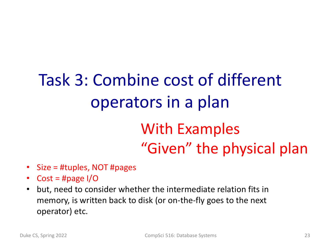# Task 3: Combine cost of different operators in a plan

#### With Examples "Given" the physical plan

- Size = #tuples, NOT #pages
- Cost = #page  $I/O$
- but, need to consider whether the intermediate relation fits in memory, is written back to disk (or on-the-fly goes to the next operator) etc.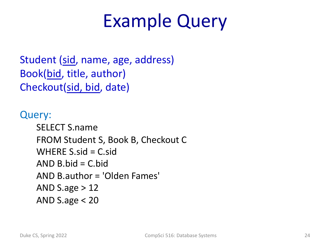### Example Query

Student (sid, name, age, address) Book(bid, title, author) Checkout(sid, bid, date)

Query: SELECT S.name FROM Student S, Book B, Checkout C WHERE  $S$ .sid =  $C$ .sid AND  $B$ , bid = C, bid AND B.author = 'Olden Fames' AND S.age  $>12$ AND S.age < 20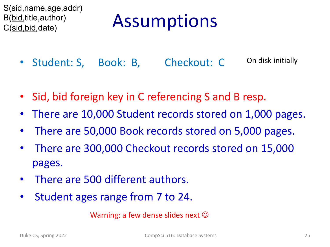S(sid,name,age,addr) B(bid,title,author) C(sid,bid,date)

## Assumptions

- Student: S, Book: B, Checkout: C On disk initially
- Sid, bid foreign key in C referencing S and B resp.
- There are 10,000 Student records stored on 1,000 pages.
- There are 50,000 Book records stored on 5,000 pages.
- There are 300,000 Checkout records stored on 15,000 pages.
- There are 500 different authors.
- Student ages range from 7 to 24.

Warning: a few dense slides next  $\odot$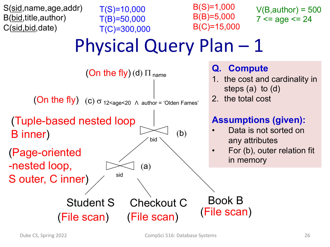

 $T(S)=10,000$ T(B)=50,000 T(C)=300,000 B(S)=1,000 B(B)=5,000 B(C)=15,000

 $V(B,author) = 500$  $7 \leq a$ ge  $\leq 24$ 

# Physical Query Plan – 1

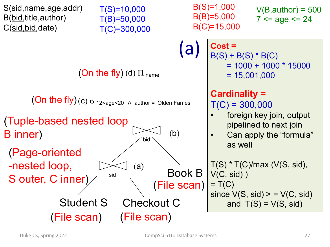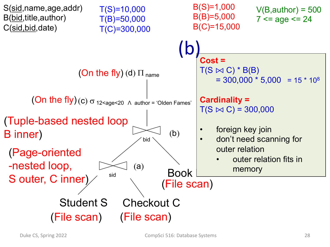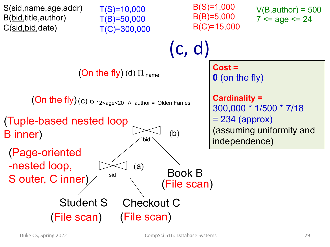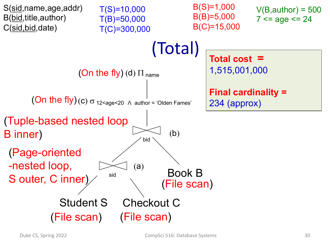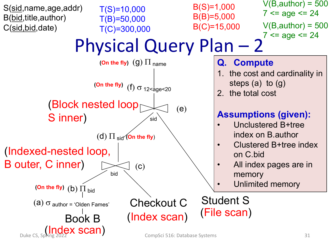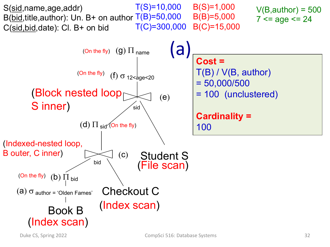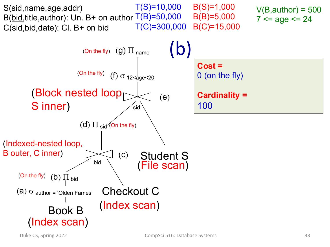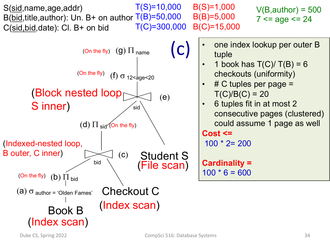Student S Checkout C bid (Index scan) (f)  $\sigma$  12 <age < 20 (c) B(S)=1,000 B(B)=5,000 B(C)=15,000  $T(S)=10,000$ B(bid, title, author): Un. B+ on author  $T(B)=50,000$ T(C)=300,000 S(sid,name,age,addr) C(sid,bid,date): Cl. B+ on bid Book B  $V(B,author) = 500$  $7$  <= age <= 24 sid (Block nested loop S inner) (e) (On the fly)  $(Q)$   $\Pi$  name (Indexed-nested loop, B outer, C inner)  $(a)$   $\sigma$  author = 'Olden Fames'  $(b)$   $\Pi$  bid (d) P sid (On the fly) (On the fly) (On the fly) • one index lookup per outer B tuple 1 book has  $T(C)/T(B) = 6$ checkouts (uniformity)  $# C$  tuples per page =  $T(C)/B(C) = 20$ • 6 tuples fit in at most 2 consecutive pages (clustered) could assume 1 page as well **Cost <=**  100 \* 2= 200 **Cardinality =**   $100 * 6 = 600$ (c) (File scan)

(Index scan)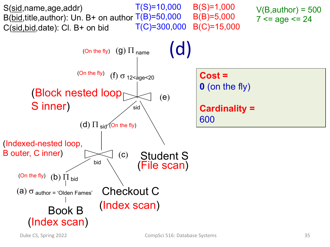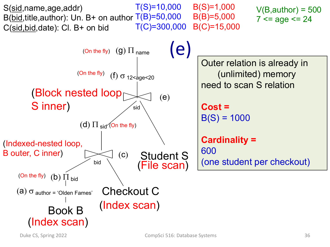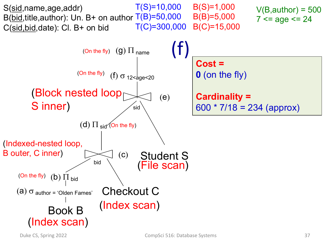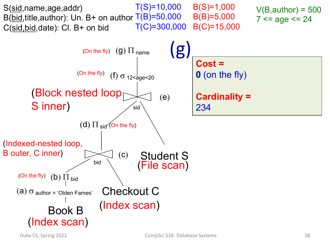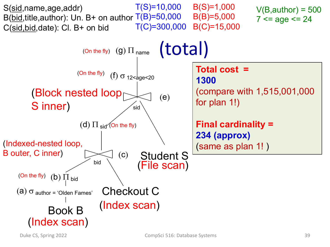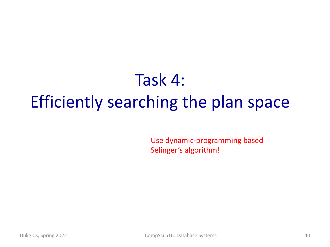### Task 4: Efficiently searching the plan space

Use dynamic-programming based Selinger's algorithm!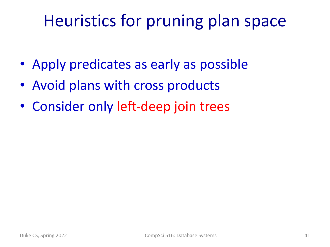#### Heuristics for pruning plan space

- Apply predicates as early as possible
- Avoid plans with cross products
- Consider only left-deep join trees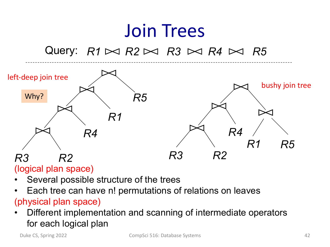#### Join Trees Query:  $R1 \bowtie R2 \bowtie R3 \bowtie R4 \bowtie R5$ *R3 R2 R4 R1 R5 R3 R2 R4 R1 R5* left-deep join tree bushy join tree Why?

(logical plan space)

- Several possible structure of the trees
- Each tree can have n! permutations of relations on leaves

#### (physical plan space)

• Different implementation and scanning of intermediate operators for each logical plan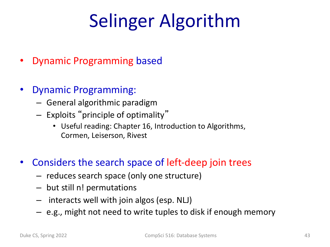- Dynamic Programming based
- Dynamic Programming:
	- General algorithmic paradigm
	- Exploits "principle of optimality"
		- Useful reading: Chapter 16, Introduction to Algorithms, Cormen, Leiserson, Rivest
- Considers the search space of left-deep join trees
	- reduces search space (only one structure)
	- but still n! permutations
	- interacts well with join algos (esp. NLJ)
	- e.g., might not need to write tuples to disk if enough memory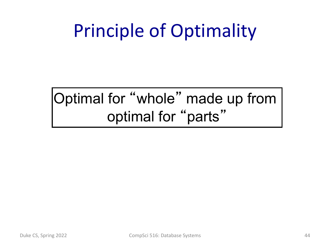#### Optimal for "whole" made up from optimal for "parts"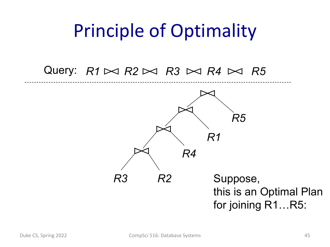#### Query:  $R1 \bowtie R2 \bowtie R3 \bowtie R4 \bowtie R5$

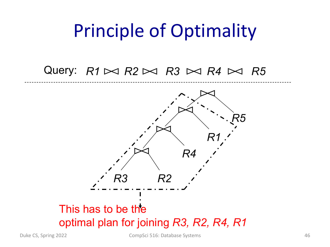#### Query:  $R1 \bowtie R2 \bowtie R3 \bowtie R4 \bowtie R5$

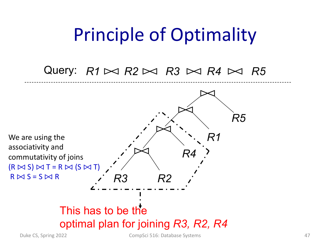#### Query:  $R1 \bowtie R2 \bowtie R3 \bowtie R4 \bowtie R5$

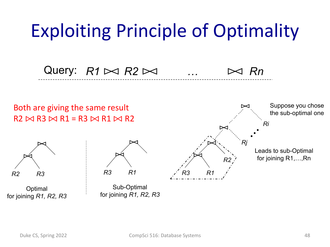### Exploiting Principle of Optimality

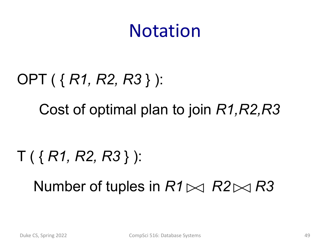#### Notation

# OPT ( { *R1, R2, R3* } ): Cost of optimal plan to join *R1,R2,R3*

#### T ( { *R1, R2, R3* } ):

Number of tuples in  $R1 \Join R2 \Join R3$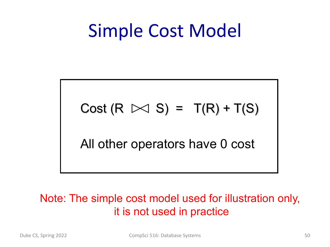### Simple Cost Model

#### Cost  $(R \Join S) = T(R) + T(S)$

All other operators have 0 cost

#### Note: The simple cost model used for illustration only, it is not used in practice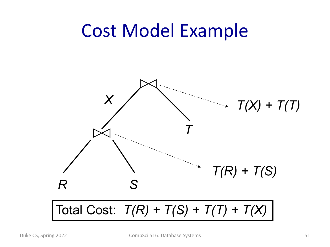#### Cost Model Example

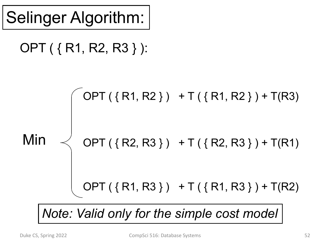#### OPT ( { R1, R2, R3 } ):



*Note: Valid only for the simple cost model*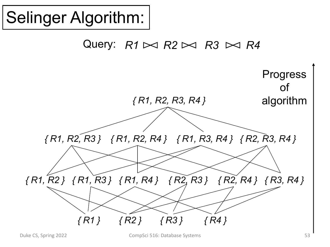Query:  $R1 \bowtie R2 \bowtie R3 \bowtie R4$ *{ R1 } { R2 } { R3 } { R4 } { R1, R2 } { R1, R3 } { R1, R4 } { R2, R3 } { R2, R4 } { R3, R4 } { R1, R2, R3 } { R1, R2, R4 } { R1, R3, R4 } { R2, R3, R4 } { R1, R2, R3, R4 }* Progress of algorithm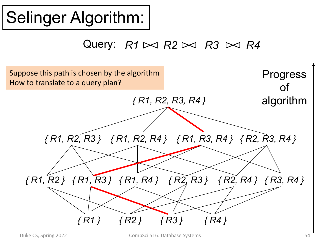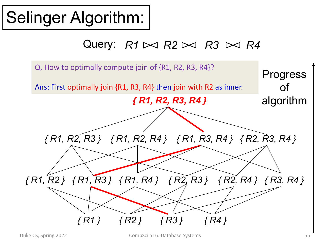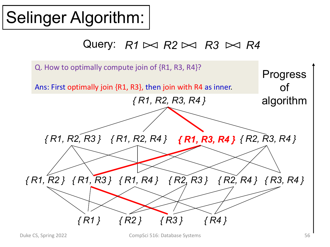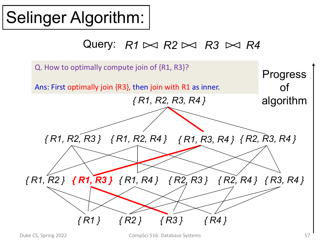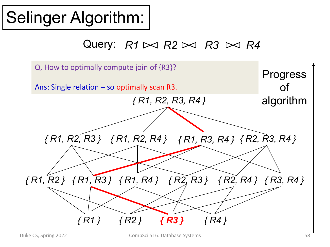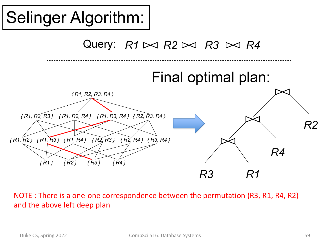

NOTE : There is a one-one correspondence between the permutation (R3, R1, R4, R2) and the above left deep plan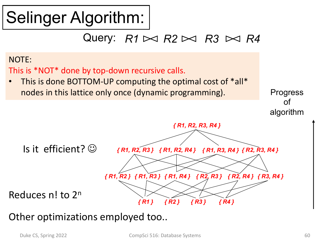#### Query:  $R1 \bowtie R2 \bowtie R3 \bowtie R4$



Other optimizations employed too..